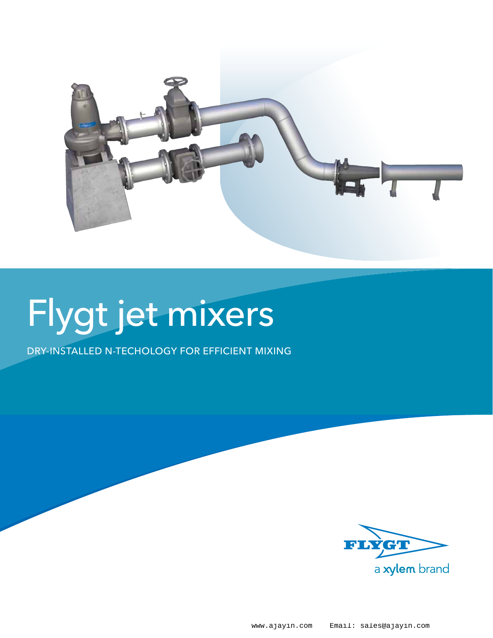

# Flygt jet mixers

Dry-installed N-techology for efficient mixing

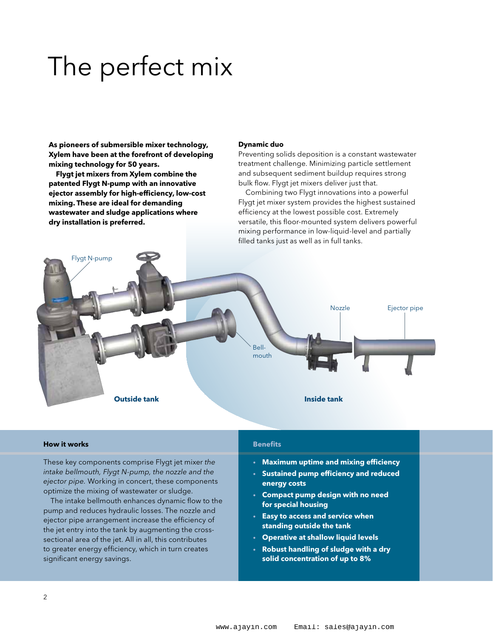### The perfect mix

**As pioneers of submersible mixer technology, Xylem have been at the forefront of developing mixing technology for 50 years.**

**Flygt jet mixers from Xylem combine the patented Flygt N-pump with an innovative ejector assembly for high-efficiency, low-cost mixing. These are ideal for demanding wastewater and sludge applications where dry installation is preferred.**

#### **Dynamic duo**

Preventing solids deposition is a constant wastewater treatment challenge. Minimizing particle settlement and subsequent sediment buildup requires strong bulk flow. Flygt jet mixers deliver just that.

Combining two Flygt innovations into a powerful Flygt jet mixer system provides the highest sustained efficiency at the lowest possible cost. Extremely versatile, this floor-mounted system delivers powerful mixing performance in low-liquid-level and partially filled tanks just as well as in full tanks.



#### **How it works**

These key components comprise Flygt jet mixer *the intake bellmouth, Flygt N-pump, the nozzle and the ejector pipe.* Working in concert, these components optimize the mixing of wastewater or sludge.

The intake bellmouth enhances dynamic flow to the pump and reduces hydraulic losses. The nozzle and ejector pipe arrangement increase the efficiency of the jet entry into the tank by augmenting the crosssectional area of the jet. All in all, this contributes to greater energy efficiency, which in turn creates significant energy savings.

#### **Benefits**

- **Maximum uptime and mixing efficiency**
- **Sustained pump efficiency and reduced energy costs**
- **Compact pump design with no need for special housing**
- **Easy to access and service when standing outside the tank**
- **Operative at shallow liquid levels**
- **Robust handling of sludge with a dry solid concentration of up to 8%**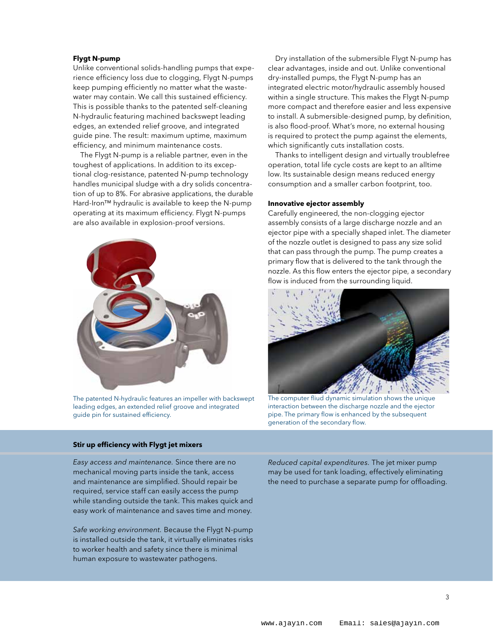#### **Flygt N-pump**

Unlike conventional solids-handling pumps that experience efficiency loss due to clogging, Flygt N-pumps keep pumping efficiently no matter what the wastewater may contain. We call this sustained efficiency. This is possible thanks to the patented self-cleaning N-hydraulic featuring machined backswept leading edges, an extended relief groove, and integrated guide pine. The result: maximum uptime, maximum efficiency, and minimum maintenance costs.

The Flygt N-pump is a reliable partner, even in the toughest of applications. In addition to its exceptional clog-resistance, patented N-pump technology handles municipal sludge with a dry solids concentration of up to 8%. For abrasive applications, the durable Hard-Iron™ hydraulic is available to keep the N-pump operating at its maximum efficiency. Flygt N-pumps are also available in explosion-proof versions.



The patented N-hydraulic features an impeller with backswept leading edges, an extended relief groove and integrated guide pin for sustained efficiency.

#### **Stir up efficiency with Flygt jet mixers**

*Easy access and maintenance.* Since there are no mechanical moving parts inside the tank, access and maintenance are simplified. Should repair be required, service staff can easily access the pump while standing outside the tank. This makes quick and easy work of maintenance and saves time and money.

*Safe working environment.* Because the Flygt N-pump is installed outside the tank, it virtually eliminates risks to worker health and safety since there is minimal human exposure to wastewater pathogens.

Dry installation of the submersible Flygt N-pump has clear advantages, inside and out. Unlike conventional dry-installed pumps, the Flygt N-pump has an integrated electric motor/hydraulic assembly housed within a single structure. This makes the Flygt N-pump more compact and therefore easier and less expensive to install. A submersible-designed pump, by definition, is also flood-proof. What's more, no external housing is required to protect the pump against the elements, which significantly cuts installation costs.

Thanks to intelligent design and virtually troublefree operation, total life cycle costs are kept to an alltime low. Its sustainable design means reduced energy consumption and a smaller carbon footprint, too.

#### **Innovative ejector assembly**

Carefully engineered, the non-clogging ejector assembly consists of a large discharge nozzle and an ejector pipe with a specially shaped inlet. The diameter of the nozzle outlet is designed to pass any size solid that can pass through the pump. The pump creates a primary flow that is delivered to the tank through the nozzle. As this flow enters the ejector pipe, a secondary flow is induced from the surrounding liquid.



The computer fliud dynamic simulation shows the unique interaction between the discharge nozzle and the ejector pipe. The primary flow is enhanced by the subsequent generation of the secondary flow.

*Reduced capital expenditures.* The jet mixer pump may be used for tank loading, effectively eliminating the need to purchase a separate pump for offloading.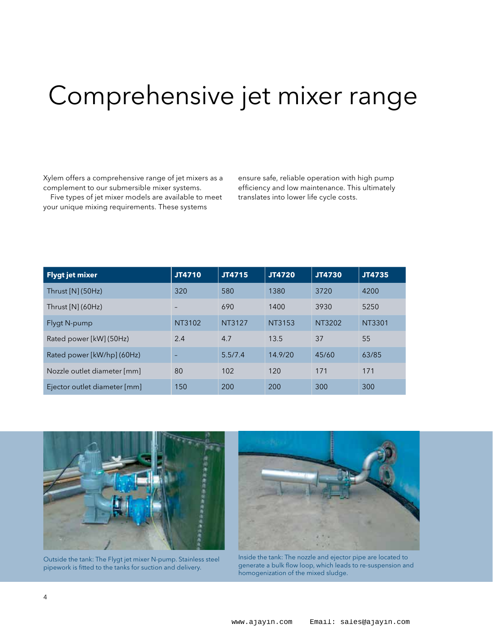### Comprehensive jet mixer range

Xylem offers a comprehensive range of jet mixers as a complement to our submersible mixer systems.

Five types of jet mixer models are available to meet your unique mixing requirements. These systems

ensure safe, reliable operation with high pump efficiency and low maintenance. This ultimately translates into lower life cycle costs.

| <b>Flygt jet mixer</b>       | JT4710 | JT4715  | JT4720  | <b>JT4730</b> | JT4735 |
|------------------------------|--------|---------|---------|---------------|--------|
| Thrust $[N]$ (50Hz)          | 320    | 580     | 1380    | 3720          | 4200   |
| Thrust $[N]$ (60Hz)          |        | 690     | 1400    | 3930          | 5250   |
| Flygt N-pump                 | NT3102 | NT3127  | NT3153  | NT3202        | NT3301 |
| Rated power [kW] (50Hz)      | 2.4    | 4.7     | 13.5    | 37            | 55     |
| Rated power [kW/hp] (60Hz)   |        | 5.5/7.4 | 14.9/20 | 45/60         | 63/85  |
| Nozzle outlet diameter [mm]  | 80     | 102     | 120     | 171           | 171    |
| Ejector outlet diameter [mm] | 150    | 200     | 200     | 300           | 300    |



Outside the tank: The Flygt jet mixer N-pump. Stainless steel pipework is fitted to the tanks for suction and delivery.



Inside the tank: The nozzle and ejector pipe are located to generate a bulk flow loop, which leads to re-suspension and homogenization of the mixed sludge.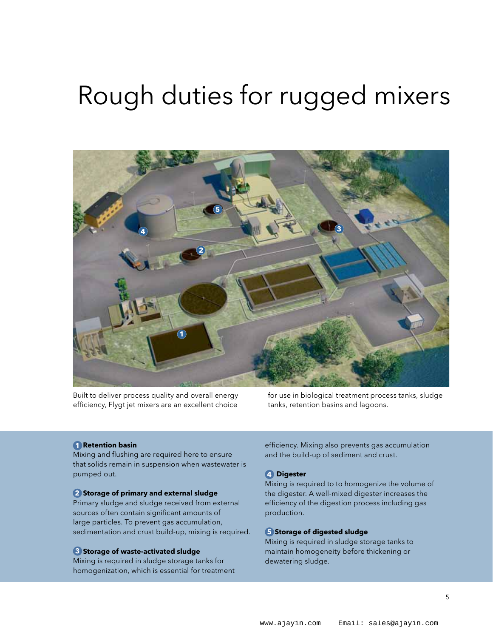### Rough duties for rugged mixers



Built to deliver process quality and overall energy efficiency, Flygt jet mixers are an excellent choice

for use in biological treatment process tanks, sludge tanks, retention basins and lagoons.

#### **1. Retention basin 1**

Mixing and flushing are required here to ensure that solids remain in suspension when wastewater is pumped out.

#### **2. Storage of primary and external sludge 2**

Primary sludge and sludge received from external sources often contain significant amounts of large particles. To prevent gas accumulation, sedimentation and crust build-up, mixing is required.

#### **3. Storage of waste-activated sludge 3**

Mixing is required in sludge storage tanks for homogenization, which is essential for treatment efficiency. Mixing also prevents gas accumulation and the build-up of sediment and crust.

#### **4 Digester 4**

Mixing is required to to homogenize the volume of the digester. A well-mixed digester increases the efficiency of the digestion process including gas production.

#### **5 Storage of digested sludge 5**

Mixing is required in sludge storage tanks to maintain homogeneity before thickening or dewatering sludge.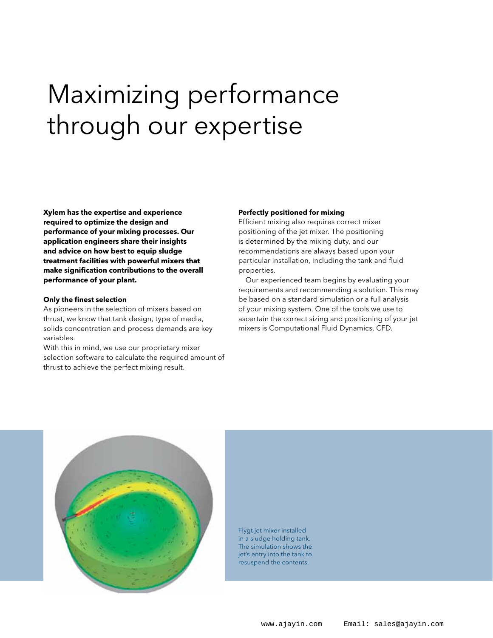## Maximizing performance through our expertise

**Xylem has the expertise and experience required to optimize the design and performance of your mixing processes. Our application engineers share their insights and advice on how best to equip sludge treatment facilities with powerful mixers that make signification contributions to the overall performance of your plant.**

#### **Only the finest selection**

As pioneers in the selection of mixers based on thrust, we know that tank design, type of media, solids concentration and process demands are key variables.

With this in mind, we use our proprietary mixer selection software to calculate the required amount of thrust to achieve the perfect mixing result.

#### **Perfectly positioned for mixing**

Efficient mixing also requires correct mixer positioning of the jet mixer. The positioning is determined by the mixing duty, and our recommendations are always based upon your particular installation, including the tank and fluid properties.

Our experienced team begins by evaluating your requirements and recommending a solution. This may be based on a standard simulation or a full analysis of your mixing system. One of the tools we use to ascertain the correct sizing and positioning of your jet mixers is Computational Fluid Dynamics, CFD.



Flygt jet mixer installed in a sludge holding tank. The simulation shows the jet's entry into the tank to resuspend the contents.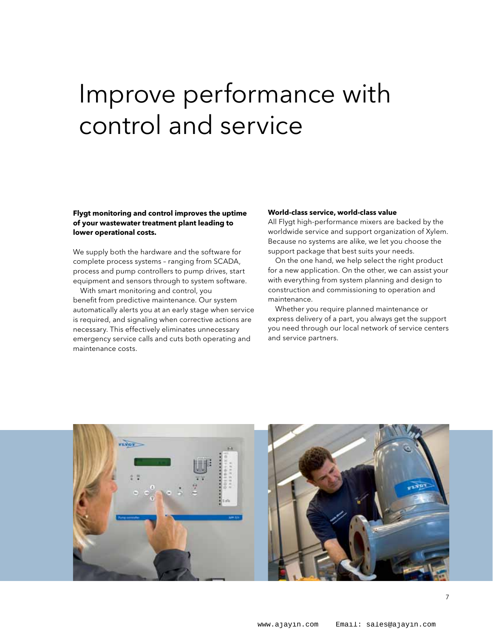### Improve performance with control and service

#### **Flygt monitoring and control improves the uptime of your wastewater treatment plant leading to lower operational costs.**

We supply both the hardware and the software for complete process systems – ranging from SCADA, process and pump controllers to pump drives, start equipment and sensors through to system software.

With smart monitoring and control, you benefit from predictive maintenance. Our system automatically alerts you at an early stage when service is required, and signaling when corrective actions are necessary. This effectively eliminates unnecessary emergency service calls and cuts both operating and maintenance costs.

#### **World-class service, world-class value**

All Flygt high-performance mixers are backed by the worldwide service and support organization of Xylem. Because no systems are alike, we let you choose the support package that best suits your needs.

On the one hand, we help select the right product for a new application. On the other, we can assist your with everything from system planning and design to construction and commissioning to operation and maintenance.

Whether you require planned maintenance or express delivery of a part, you always get the support you need through our local network of service centers and service partners.